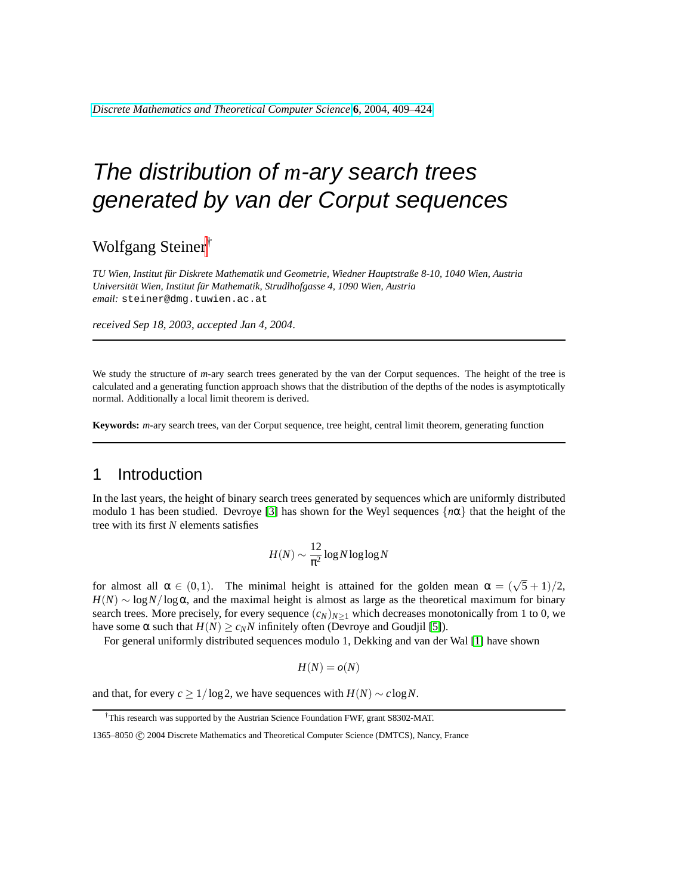*[Discrete Mathematics and Theoretical Computer Science](http://dmtcs.loria.fr/)* **6**[, 2004, 409–424](http://dmtcs.loria.fr/volumes/)

# The distribution of *m*-ary search trees generated by van der Corput sequences

Wolfgang Steiner†

*TU Wien, Institut fur Diskrete Mathematik und Geometrie, Wiedner Hauptstraße 8-10, 1040 Wien, Austria ¨*  $Universität Wien, Institut für Mathematik, Strudlhofgasse 4, 1090 Wien, Austria$ *email:* steiner@dmg.tuwien.ac.at

*received Sep 18, 2003*, *accepted Jan 4, 2004*.

We study the structure of *m*-ary search trees generated by the van der Corput sequences. The height of the tree is calculated and a generating function approach shows that the distribution of the depths of the nodes is asymptotically normal. Additionally a local limit theorem is derived.

**Keywords:** *m*-ary search trees, van der Corput sequence, tree height, central limit theorem, generating function

#### 1 Introduction

In the last years, the height of binary search trees generated by sequences which are uniformly distributed modulo 1 has been studied. Devroye [\[3\]](#page-14-0) has shown for the Weyl sequences {*n*α} that the height of the tree with its first *N* elements satisfies

$$
H(N) \sim \frac{12}{\pi^2} \log N \log \log N
$$

for almost all  $\alpha \in (0,1)$ . The minimal height is attained for the golden mean  $\alpha = (\sqrt{5} + 1)/2$ ,  $H(N) \sim \log N / \log \alpha$ , and the maximal height is almost as large as the theoretical maximum for binary search trees. More precisely, for every sequence  $(c_N)_{N \geq 1}$  which decreases monotonically from 1 to 0, we have some α such that  $H(N) \geq c_N N$  infinitely often (Devroye and Goudjil [\[5\]](#page-14-1)).

For general uniformly distributed sequences modulo 1, Dekking and van der Wal [\[1\]](#page-14-2) have shown

$$
H(N)=o(N)
$$

and that, for every  $c \geq 1/\log 2$ , we have sequences with  $H(N) \sim c \log N$ .

<sup>†</sup>This research was supported by the Austrian Science Foundation FWF, grant S8302-MAT.

<sup>1365–8050</sup> C 2004 Discrete Mathematics and Theoretical Computer Science (DMTCS), Nancy, France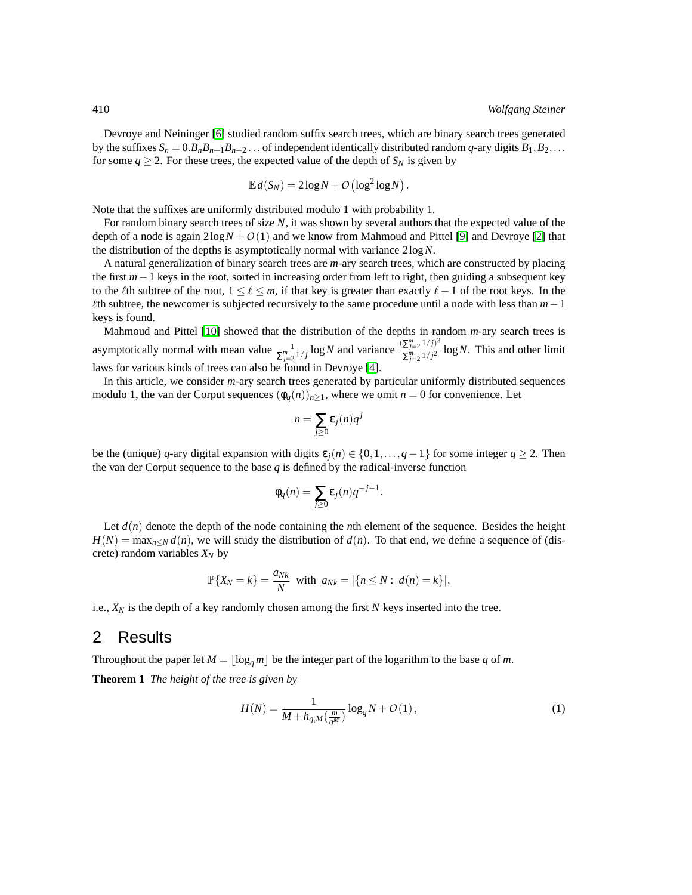Devroye and Neininger [\[6\]](#page-14-3) studied random suffix search trees, which are binary search trees generated by the suffixes  $S_n = 0.B_nB_{n+1}B_{n+2}$ ... of independent identically distributed random *q*-ary digits  $B_1, B_2, \ldots$ for some  $q \ge 2$ . For these trees, the expected value of the depth of  $S_N$  is given by

$$
\mathbb{E} d(S_N) = 2\log N + O\left(\log^2 \log N\right).
$$

Note that the suffixes are uniformly distributed modulo 1 with probability 1.

For random binary search trees of size *N*, it was shown by several authors that the expected value of the depth of a node is again  $2\log N + O(1)$  and we know from Mahmoud and Pittel [\[9\]](#page-14-4) and Devroye [\[2\]](#page-14-5) that the distribution of the depths is asymptotically normal with variance 2log*N*.

A natural generalization of binary search trees are *m*-ary search trees, which are constructed by placing the first *m*−1 keys in the root, sorted in increasing order from left to right, then guiding a subsequent key to the  $\ell$ th subtree of the root,  $1 \leq \ell \leq m$ , if that key is greater than exactly  $\ell-1$  of the root keys. In the `th subtree, the newcomer is subjected recursively to the same procedure until a node with less than *m*−1 keys is found.

Mahmoud and Pittel [\[10\]](#page-14-6) showed that the distribution of the depths in random *m*-ary search trees is asymptotically normal with mean value  $\frac{1}{\sum_{j=2}^{m}1/j} \log N$  and variance  $\frac{(\sum_{j=2}^{m}1/j)^3}{\sum_{j=2}^{m}1/j^2}$  $\sum_{j=2}^{\mu} \frac{1}{j^2} \log N$ . This and other limit laws for various kinds of trees can also be found in Devroye [\[4\]](#page-14-7).

In this article, we consider *m*-ary search trees generated by particular uniformly distributed sequences modulo 1, the van der Corput sequences  $(\phi_q(n))_{n>1}$ , where we omit  $n=0$  for convenience. Let

$$
n=\sum_{j\geq 0}\varepsilon_j(n)q^j
$$

be the (unique) *q*-ary digital expansion with digits  $\varepsilon_i(n) \in \{0,1,\ldots,q-1\}$  for some integer  $q \ge 2$ . Then the van der Corput sequence to the base *q* is defined by the radical-inverse function

$$
\phi_q(n) = \sum_{j\geq 0} \varepsilon_j(n) q^{-j-1}.
$$

Let  $d(n)$  denote the depth of the node containing the *n*th element of the sequence. Besides the height  $H(N) = \max_{n \le N} d(n)$ , we will study the distribution of  $d(n)$ . To that end, we define a sequence of (discrete) random variables *X<sup>N</sup>* by

$$
\mathbb{P}\{X_N = k\} = \frac{a_{Nk}}{N} \text{ with } a_{Nk} = |\{n \leq N : d(n) = k\}|,
$$

i.e.,  $X_N$  is the depth of a key randomly chosen among the first  $N$  keys inserted into the tree.

#### 2 Results

Throughout the paper let  $M = \lfloor \log_a m \rfloor$  be the integer part of the logarithm to the base *q* of *m*.

<span id="page-1-0"></span>**Theorem 1** *The height of the tree is given by*

<span id="page-1-1"></span>
$$
H(N) = \frac{1}{M + h_{q,M}(\frac{m}{q^M})} \log_q N + O(1),
$$
\n(1)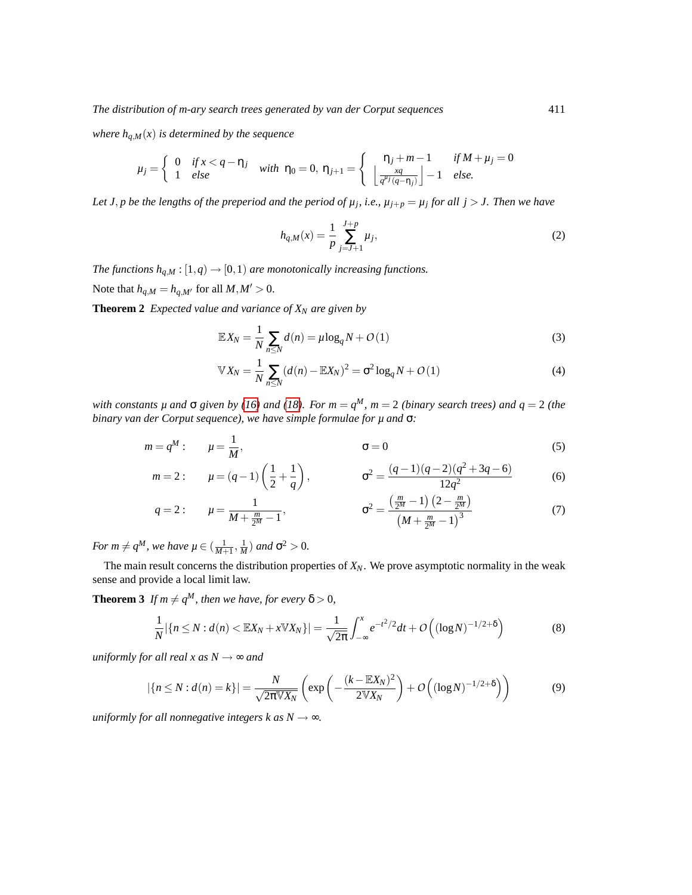*where*  $h_{q,M}(x)$  *is determined by the sequence* 

$$
\mu_j = \begin{cases} 0 & \text{if } x < q - \eta_j \\ 1 & \text{else} \end{cases} \quad \text{with } \eta_0 = 0, \, \eta_{j+1} = \begin{cases} \eta_j + m - 1 & \text{if } M + \mu_j = 0 \\ \left\lfloor \frac{xq}{q^{\mu_j}(q - \eta_j)} \right\rfloor - 1 & \text{else.} \end{cases}
$$

Let *J*, *p* be the lengths of the preperiod and the period of  $\mu_j$ , i.e.,  $\mu_{j+p} = \mu_j$  for all  $j > J$ . Then we have

<span id="page-2-2"></span><span id="page-2-1"></span>
$$
h_{q,M}(x) = \frac{1}{p} \sum_{j=J+1}^{J+p} \mu_j,
$$
\n(2)

*The functions*  $h_{q,M}$  :  $[1,q) \rightarrow [0,1)$  *are monotonically increasing functions.* Note that  $h_{q,M} = h_{q,M'}$  for all  $M, M' > 0$ .

**Theorem 2** *Expected value and variance of*  $X_N$  *are given by* 

$$
\mathbb{E}X_N = \frac{1}{N} \sum_{n \leq N} d(n) = \mu \log_q N + O(1)
$$
\n(3)

$$
\mathbb{V}X_N = \frac{1}{N} \sum_{n \le N} (d(n) - \mathbb{E}X_N)^2 = \sigma^2 \log_q N + O(1)
$$
 (4)

*with constants µ and*  $\sigma$  *given by* [\(16\)](#page-8-0) and [\(18\)](#page-9-0). For  $m = q^M$ ,  $m = 2$  (binary search trees) and  $q = 2$  (the *binary van der Corput sequence), we have simple formulae for µ and* σ*:*

$$
m = q^M: \qquad \mu = \frac{1}{M}, \qquad \qquad \sigma = 0 \tag{5}
$$

$$
m=2:
$$
  $\mu = (q-1)\left(\frac{1}{2} + \frac{1}{q}\right),$   $\sigma^2 = \frac{(q-1)(q-2)(q^2+3q-6)}{12q^2}$  (6)

$$
q = 2: \qquad \mu = \frac{1}{M + \frac{m}{2^M} - 1}, \qquad \qquad \sigma^2 = \frac{\left(\frac{m}{2^M} - 1\right)\left(2 - \frac{m}{2^M}\right)}{\left(M + \frac{m}{2^M} - 1\right)^3} \tag{7}
$$

*For*  $m \neq q^M$ , we have  $\mu \in (\frac{1}{M+1}, \frac{1}{M})$  and  $\sigma^2 > 0$ .

The main result concerns the distribution properties of *XN*. We prove asymptotic normality in the weak sense and provide a local limit law.

<span id="page-2-0"></span>**Theorem 3** *If*  $m \neq q^M$ *, then we have, for every*  $\delta > 0$ *,* 

<span id="page-2-4"></span><span id="page-2-3"></span>
$$
\frac{1}{N} |\{n \le N : d(n) < \mathbb{E}[X_N + x \mathbb{V}[X_N]\}| = \frac{1}{\sqrt{2\pi}} \int_{-\infty}^x e^{-t^2/2} dt + O\left( (\log N)^{-1/2 + \delta} \right) \tag{8}
$$

*uniformly for all real x as*  $N \rightarrow \infty$  *and* 

$$
|\{n \le N : d(n) = k\}| = \frac{N}{\sqrt{2\pi} \mathbb{V} X_N} \left( \exp\left(-\frac{(k - \mathbb{E} X_N)^2}{2\mathbb{V} X_N}\right) + O\left((\log N)^{-1/2 + \delta}\right) \right) \tag{9}
$$

*uniformly for all nonnegative integers k as*  $N \rightarrow \infty$ *.*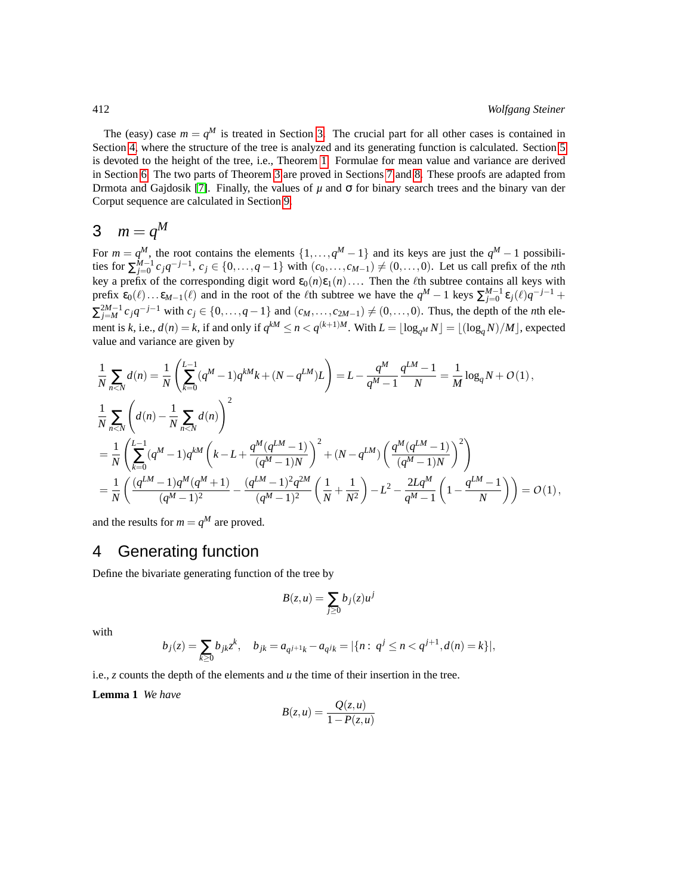The (easy) case  $m = q^M$  is treated in Section [3.](#page-3-0) The crucial part for all other cases is contained in Section [4,](#page-3-1) where the structure of the tree is analyzed and its generating function is calculated. Section [5](#page-6-0) is devoted to the height of the tree, i.e., Theorem [1.](#page-1-0) Formulae for mean value and variance are derived in Section [6.](#page-6-1) The two parts of Theorem [3](#page-2-0) are proved in Sections [7](#page-9-1) and [8.](#page-11-0) These proofs are adapted from Drmota and Gajdosik [\[7\]](#page-14-8). Finally, the values of  $\mu$  and  $\sigma$  for binary search trees and the binary van der Corput sequence are calculated in Section [9.](#page-13-0)

## <span id="page-3-0"></span>3  $m = q^M$

For  $m = q^M$ , the root contains the elements  $\{1, \ldots, q^M - 1\}$  and its keys are just the  $q^M - 1$  possibili*ties* for  $\sum_{j=0}^{M-1} c_j q^{-j-1}$ ,  $c_j \in \{0, ..., q-1\}$  with  $(c_0, ..., c_{M-1}) \neq (0, ..., 0)$ . Let us call prefix of the *n*th key a prefix of the corresponding digit word  $\varepsilon_0(n)\varepsilon_1(n)\ldots$  Then the  $\ell$ th subtree contains all keys with prefix  $\epsilon_0(\ell) \dots \epsilon_{M-1}(\ell)$  and in the root of the  $\ell$ th subtree we have the  $q^M - 1$  keys  $\sum_{j=0}^{M-1} \epsilon_j(\ell) q^{-j-1}$  +  $\sum_{j=M}^{2M-1} c_j q^{-j-1}$  with  $c_j \in \{0, ..., q-1\}$  and  $(c_M, ..., c_{2M-1}) \neq (0, ..., 0)$ . Thus, the depth of the *n*th element is *k*, i.e.,  $d(n) = k$ , if and only if  $q^{kM} \le n < q^{(k+1)M}$ . With  $L = \lfloor \log_{q^M} N \rfloor = \lfloor (\log_q N)/M \rfloor$ , expected value and variance are given by

$$
\begin{split} &\frac{1}{N}\sum_{n
$$

and the results for  $m = q^M$  are proved.

#### <span id="page-3-1"></span>4 Generating function

Define the bivariate generating function of the tree by

$$
B(z, u) = \sum_{j \ge 0} b_j(z) u^j
$$

with

$$
b_j(z) = \sum_{k \ge 0} b_{jk} z^k, \quad b_{jk} = a_{q^{j+1}k} - a_{q^jk} = |\{n : q^j \le n < q^{j+1}, d(n) = k\}|,
$$

i.e., *z* counts the depth of the elements and *u* the time of their insertion in the tree.

<span id="page-3-2"></span>**Lemma 1** *We have*

$$
B(z, u) = \frac{Q(z, u)}{1 - P(z, u)}
$$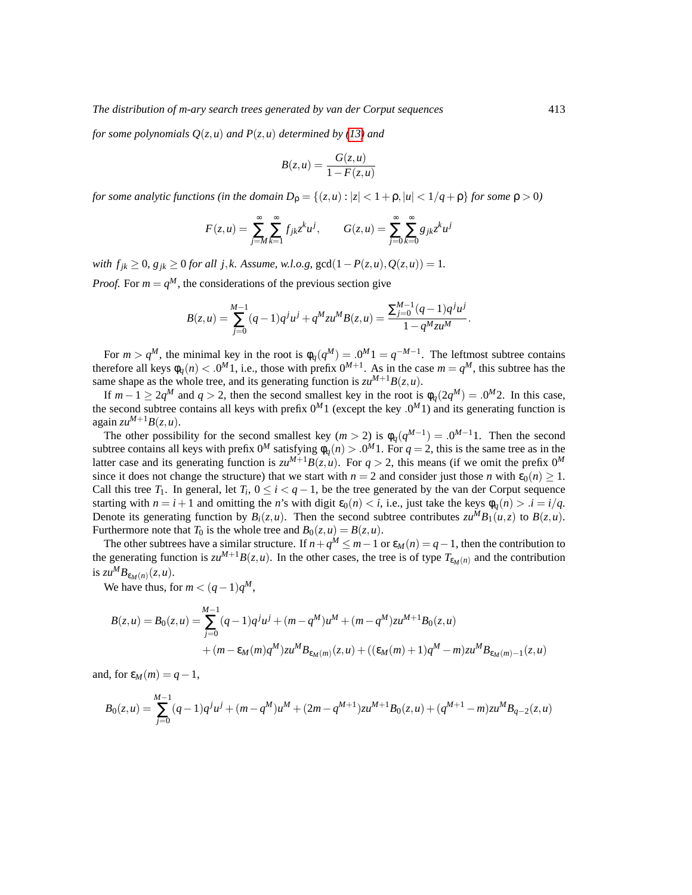*for some polynomials Q*(*z*,*u*) *and P*(*z*,*u*) *determined by [\(13\)](#page-5-0) and*

$$
B(z, u) = \frac{G(z, u)}{1 - F(z, u)}
$$

*for some analytic functions (in the domain*  $D_{\rho} = \{(z, u) : |z| < 1 + \rho, |u| < 1/q + \rho\}$  *for some*  $\rho > 0$ *)* 

$$
F(z, u) = \sum_{j=M}^{\infty} \sum_{k=1}^{\infty} f_{jk} z^k u^j, \qquad G(z, u) = \sum_{j=0}^{\infty} \sum_{k=0}^{\infty} g_{jk} z^k u^j
$$

*with*  $f_{jk}$  ≥ 0*, g*<sub>jk</sub> ≥ 0 *for all j*,*k.* Assume, w.l.o.g, gcd(1−*P*(*z*,*u*),  $Q(z, u)$ ) = 1*. Proof.* For  $m = q^M$ , the considerations of the previous section give

$$
B(z, u) = \sum_{j=0}^{M-1} (q-1)q^{j}u^{j} + q^{M}zu^{M}B(z, u) = \frac{\sum_{j=0}^{M-1} (q-1)q^{j}u^{j}}{1 - q^{M}zu^{M}}.
$$

For  $m > q^M$ , the minimal key in the root is  $\phi_q(q^M) = 0.0^M 1 = q^{-M-1}$ . The leftmost subtree contains therefore all keys  $\phi_q(n) < 0^M 1$ , i.e., those with prefix  $0^{M+1}$ . As in the case  $m = q^M$ , this subtree has the same shape as the whole tree, and its generating function is  $zu^{M+1}B(z, u)$ .

If  $m-1 \geq 2q^M$  and  $q > 2$ , then the second smallest key in the root is  $\phi_q(2q^M) = 0.0^M 2$ . In this case, the second subtree contains all keys with prefix  $0^M1$  (except the key  $.0^M1$ ) and its generating function is again  $zu^{M+1}B(z, u)$ .

The other possibility for the second smallest key  $(m > 2)$  is  $\phi_q(q^{M-1}) = 0^{M-1}1$ . Then the second subtree contains all keys with prefix  $0^M$  satisfying  $\phi_q(n) > 0^M 1$ . For  $q = 2$ , this is the same tree as in the latter case and its generating function is  $zu^{M+1}B(z, u)$ . For  $q > 2$ , this means (if we omit the prefix  $0^M$ since it does not change the structure) that we start with  $n = 2$  and consider just those *n* with  $\epsilon_0(n) \geq 1$ . Call this tree  $T_1$ . In general, let  $T_i$ ,  $0 \le i < q-1$ , be the tree generated by the van der Corput sequence starting with  $n = i + 1$  and omitting the *n*'s with digit  $\varepsilon_0(n) < i$ , i.e., just take the keys  $\phi_q(n) > i = i/q$ . Denote its generating function by  $B_i(z, u)$ . Then the second subtree contributes  $zu^M B_1(u, z)$  to  $B(z, u)$ . Furthermore note that  $T_0$  is the whole tree and  $B_0(z, u) = B(z, u)$ .

The other subtrees have a similar structure. If  $n + q^M \le m - 1$  or  $\varepsilon_M(n) = q - 1$ , then the contribution to the generating function is  $zu^{M+1}B(z, u)$ . In the other cases, the tree is of type  $T_{\varepsilon_M(n)}$  and the contribution is  $zu^M B_{\varepsilon_M(n)}(z,u)$ .

We have thus, for  $m < (q-1)q^M$ ,

$$
B(z, u) = B_0(z, u) = \sum_{j=0}^{M-1} (q-1)q^j u^j + (m - q^M)u^M + (m - q^M)zu^{M+1}B_0(z, u)
$$
  
+ 
$$
(m - \varepsilon_M(m)q^M)zu^M B_{\varepsilon_M(m)}(z, u) + ((\varepsilon_M(m) + 1)q^M - m)zu^M B_{\varepsilon_M(m) - 1}(z, u)
$$

and, for  $\varepsilon_M(m) = q-1$ ,

$$
B_0(z,u) = \sum_{j=0}^{M-1} (q-1)q^j u^j + (m-q^M)u^M + (2m-q^{M+1})zu^{M+1}B_0(z,u) + (q^{M+1}-m)zu^M B_{q-2}(z,u)
$$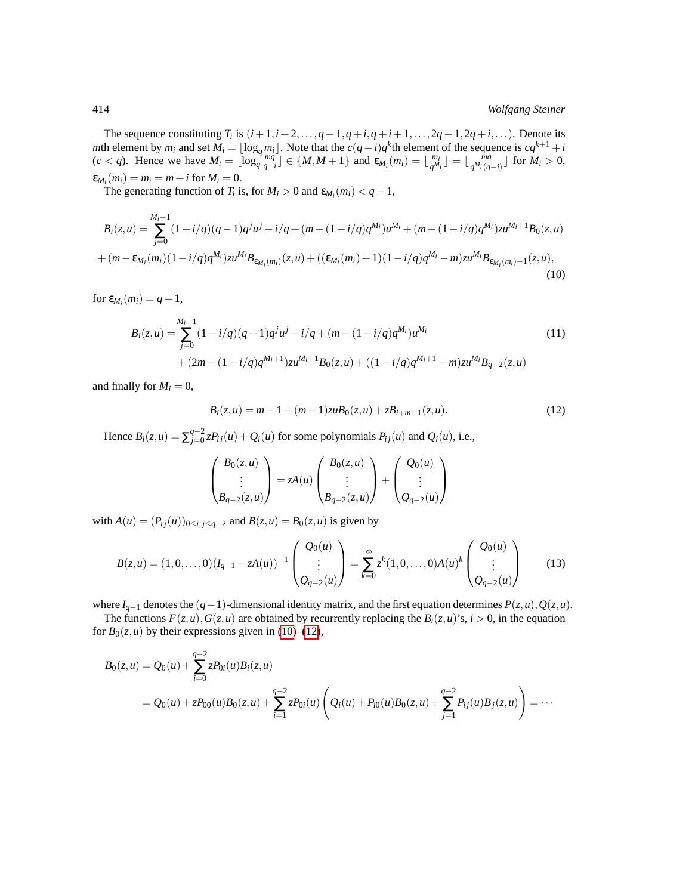The sequence constituting  $T_i$  is  $(i+1,i+2,\ldots,q-1,q+i,q+i+1,\ldots,2q-1,2q+i,\ldots)$ . Denote its *m*th element by  $m_i$  and set  $M_i = \lfloor \log_q m_i \rfloor$ . Note that the  $c(q-i)q^k$ th element of the sequence is  $cq^{k+1} + i$  $(c < q)$ . Hence we have  $M_i = \lfloor \log_q \frac{mq^2}{q-i} \rfloor \in \{M, M+1\}$  and  $\epsilon_{M_i}(m_i) = \lfloor \frac{m_i}{q^M} \rfloor$  $\frac{m_i}{q^{M_i}}$   $\rfloor = \lfloor \frac{\tilde{m}q}{q^{M_i}(q)} \rfloor$  $\frac{mq}{q^{M_i}(q-i)}$  ∫ for *M*<sub>*i*</sub> > 0,  $\varepsilon_{M_i}(m_i) = m_i = m + i$  for  $M_i = 0$ .

The generating function of *T*<sup>*i*</sup> is, for *M*<sup>*i*</sup> > 0 and  $\varepsilon_{M_i}(m_i) < q - 1$ ,

$$
B_i(z, u) = \sum_{j=0}^{M_i-1} (1 - i/q)(q - 1)q^j u^j - i/q + (m - (1 - i/q)q^{M_i})u^{M_i} + (m - (1 - i/q)q^{M_i})zu^{M_i+1}B_0(z, u) + (m - \varepsilon_{M_i}(m_i)(1 - i/q)q^{M_i})zu^{M_i}B_{\varepsilon_{M_i}(m_i)}(z, u) + ((\varepsilon_{M_i}(m_i) + 1)(1 - i/q)q^{M_i} - m)zu^{M_i}B_{\varepsilon_{M_i}(m_i)-1}(z, u),
$$
\n(10)

for  $\varepsilon_{M_i}(m_i) = q - 1$ ,

$$
B_i(z, u) = \sum_{j=0}^{M_i-1} (1 - i/q)(q - 1)q^j u^j - i/q + (m - (1 - i/q)q^{M_i})u^{M_i}
$$
  
+ 
$$
(2m - (1 - i/q)q^{M_i+1})zu^{M_i+1}B_0(z, u) + ((1 - i/q)q^{M_i+1} - m)zu^{M_i}B_{q-2}(z, u)
$$
 (11)

and finally for  $M_i = 0$ ,

<span id="page-5-2"></span><span id="page-5-1"></span>
$$
B_i(z, u) = m - 1 + (m - 1)z u B_0(z, u) + z B_{i+m-1}(z, u).
$$
 (12)

Hence  $B_i(z, u) = \sum_{i=0}^{q-2}$  $Q_{j=0}^{q-2} zP_{ij}(u) + Q_i(u)$  for some polynomials  $P_{ij}(u)$  and  $Q_i(u)$ , i.e.,

<span id="page-5-0"></span>
$$
\begin{pmatrix} B_0(z,u) \\ \vdots \\ B_{q-2}(z,u) \end{pmatrix} = zA(u) \begin{pmatrix} B_0(z,u) \\ \vdots \\ B_{q-2}(z,u) \end{pmatrix} + \begin{pmatrix} Q_0(u) \\ \vdots \\ Q_{q-2}(u) \end{pmatrix}
$$

with  $A(u) = (P_{ij}(u))_{0 \le i, j \le q-2}$  and  $B(z, u) = B_0(z, u)$  is given by

$$
B(z, u) = (1, 0, ..., 0)(I_{q-1} - zA(u))^{-1} \begin{pmatrix} Q_0(u) \\ \vdots \\ Q_{q-2}(u) \end{pmatrix} = \sum_{k=0}^{\infty} z^k (1, 0, ..., 0) A(u)^k \begin{pmatrix} Q_0(u) \\ \vdots \\ Q_{q-2}(u) \end{pmatrix}
$$
(13)

where *I*<sub>*q*−1</sub> denotes the  $(q-1)$ -dimensional identity matrix, and the first equation determines  $P(z, u)$ ,  $Q(z, u)$ .

The functions  $F(z, u)$ ,  $G(z, u)$  are obtained by recurrently replacing the  $B_i(z, u)$ 's,  $i > 0$ , in the equation for  $B_0(z, u)$  by their expressions given in [\(10\)](#page-5-1)–[\(12\)](#page-5-2),

$$
B_0(z, u) = Q_0(u) + \sum_{i=0}^{q-2} z P_{0i}(u) B_i(z, u)
$$
  
=  $Q_0(u) + z P_{00}(u) B_0(z, u) + \sum_{i=1}^{q-2} z P_{0i}(u) \left(Q_i(u) + P_{i0}(u) B_0(z, u) + \sum_{j=1}^{q-2} P_{ij}(u) B_j(z, u)\right) = \cdots$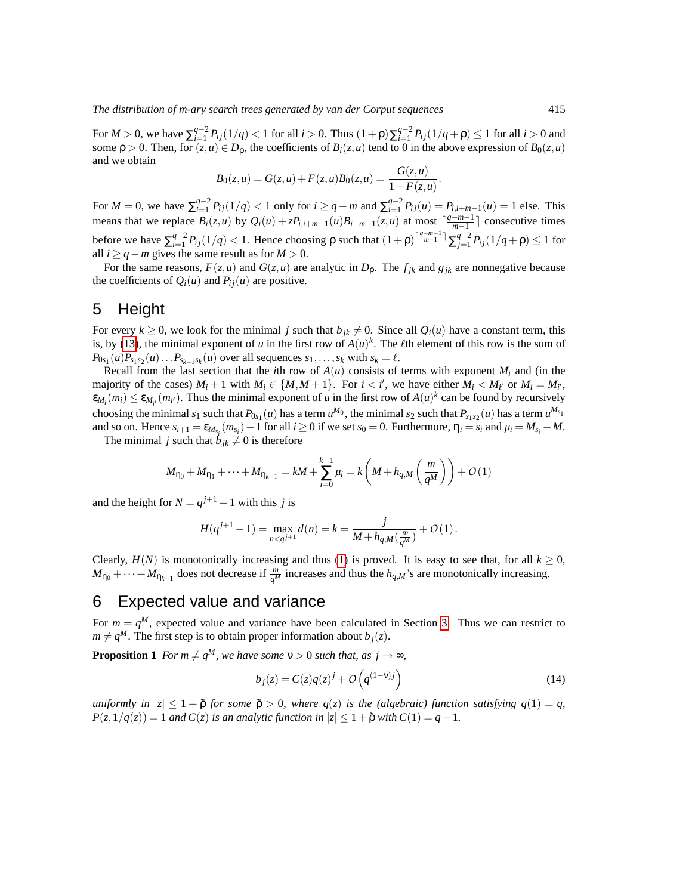For  $M > 0$ , we have  $\sum_{i=1}^{q-2} P_{ij}(1/q) < 1$  for all  $i > 0$ . Thus  $(1+\rho)\sum_{i=1}^{q-2} P_{ij}(1/q+\rho) \le 1$  for all  $i > 0$  and some  $\rho > 0$ . Then, for  $(z, u) \in D_\rho$ , the coefficients of  $B_i(z, u)$  tend to 0 in the above expression of  $B_0(z, u)$ and we obtain

$$
B_0(z, u) = G(z, u) + F(z, u)B_0(z, u) = \frac{G(z, u)}{1 - F(z, u)}
$$

.

For  $M = 0$ , we have  $\sum_{i=1}^{q-2} P_{ij}(1/q) < 1$  only for  $i \ge q - m$  and  $\sum_{i=1}^{q-2} P_{ij}(u) = P_{i,i+m-1}(u) = 1$  else. This means that we replace  $B_i(z, u)$  by  $Q_i(u) + zP_{i,i+m-1}(u)B_{i+m-1}(z, u)$  at most  $\lceil \frac{q-m-1}{m-1} \rceil$  $\frac{-m-1}{m-1}$  consecutive times before we have  $\sum_{i=1}^{q-2} P_{ij}(1/q)$  < 1. Hence choosing ρ such that  $(1+p)^{\lceil \frac{q-m-1}{m-1} \rceil} \sum_{j=1}^{q-2} P_{ij}(1/q+p) ≤ 1$  for all  $i \geq q - m$  gives the same result as for  $M > 0$ .

For the same reasons,  $F(z, u)$  and  $G(z, u)$  are analytic in  $D<sub>p</sub>$ . The  $f<sub>ik</sub>$  and  $g<sub>ik</sub>$  are nonnegative because the coefficients of  $Q_i(u)$  and  $P_i(i)$  are positive.

#### <span id="page-6-0"></span>5 Height

For every  $k \ge 0$ , we look for the minimal *j* such that  $b_{ik} \ne 0$ . Since all  $Q_i(u)$  have a constant term, this is, by [\(13\)](#page-5-0), the minimal exponent of *u* in the first row of  $A(u)^k$ . The  $\ell$ th element of this row is the sum of  $P_{0s_1}(u)P_{s_1s_2}(u) \ldots P_{s_{k-1}s_k}(u)$  over all sequences  $s_1, \ldots, s_k$  with  $s_k = \ell$ .

Recall from the last section that the *i*th row of  $A(u)$  consists of terms with exponent  $M_i$  and (in the majority of the cases)  $M_i + 1$  with  $M_i \in \{M, M + 1\}$ . For  $i < i'$ , we have either  $M_i < M_{i'}$  or  $M_i = M_{i'}$ ,  $\epsilon_{M_i}(m_i) \leq \epsilon_{M_{i'}}(m_{i'})$ . Thus the minimal exponent of *u* in the first row of  $A(u)^k$  can be found by recursively choosing the minimal  $s_1$  such that  $P_{0s_1}(u)$  has a term  $u^{M_0}$ , the minimal  $s_2$  such that  $P_{s_1s_2}(u)$  has a term  $u^{M_{s_1}}$ and so on. Hence  $s_{i+1} = \varepsilon_{M_{s_i}}(m_{s_i}) - 1$  for all  $i \ge 0$  if we set  $s_0 = 0$ . Furthermore,  $\eta_i = s_i$  and  $\mu_i = M_{s_i} - M$ .

The minimal *j* such that  $\dot{b}_{ik} \neq 0$  is therefore

$$
M_{\eta_0} + M_{\eta_1} + \dots + M_{\eta_{k-1}} = kM + \sum_{i=0}^{k-1} \mu_i = k \left( M + h_{q,M} \left( \frac{m}{q^M} \right) \right) + O(1)
$$

and the height for  $N = q^{j+1} - 1$  with this *j* is

$$
H(q^{j+1}-1) = \max_{n < q^{j+1}} d(n) = k = \frac{j}{M + h_{q,M}(\frac{m}{q^M})} + O(1).
$$

Clearly,  $H(N)$  is monotonically increasing and thus [\(1\)](#page-1-1) is proved. It is easy to see that, for all  $k \ge 0$ ,  $M_{\eta_0} + \cdots + M_{\eta_{k-1}}$  does not decrease if  $\frac{m}{q^M}$  increases and thus the  $h_{q,M}$ 's are monotonically increasing.

#### <span id="page-6-1"></span>6 Expected value and variance

For  $m = q^M$ , expected value and variance have been calculated in Section [3.](#page-3-0) Thus we can restrict to  $m \neq q^M$ . The first step is to obtain proper information about  $b_j(z)$ .

<span id="page-6-2"></span>**Proposition 1** *For m*  $\neq q^M$ *, we have some*  $v > 0$  *such that, as*  $j \rightarrow \infty$ *,* 

$$
b_j(z) = C(z)q(z)^j + O\left(q^{(1-v)j}\right)
$$
\n(14)

*uniformly in*  $|z| \leq 1 + \tilde{\rho}$  *for some*  $\tilde{\rho} > 0$ *, where*  $q(z)$  *is the (algebraic) function satisfying*  $q(1) = q$ *,*  $P(z,1/q(z)) = 1$  *and*  $C(z)$  *is an analytic function in*  $|z| \leq 1 + \tilde{\rho}$  *with*  $C(1) = q - 1$ *.*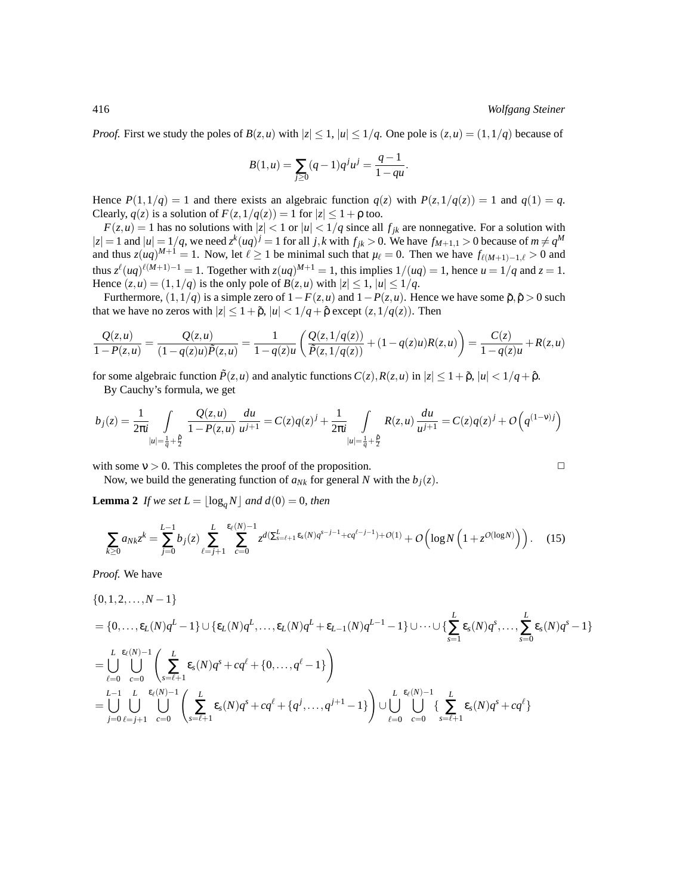*Proof.* First we study the poles of  $B(z, u)$  with  $|z| \leq 1$ ,  $|u| \leq 1/q$ . One pole is  $(z, u) = (1, 1/q)$  because of

$$
B(1, u) = \sum_{j \ge 0} (q - 1)q^{j}u^{j} = \frac{q - 1}{1 - qu}.
$$

Hence  $P(1,1/q) = 1$  and there exists an algebraic function  $q(z)$  with  $P(z,1/q(z)) = 1$  and  $q(1) = q$ . Clearly,  $q(z)$  is a solution of  $F(z,1/q(z)) = 1$  for  $|z| \leq 1 + \rho$  too.

 $F(z, u) = 1$  has no solutions with  $|z| < 1$  or  $|u| < 1/q$  since all  $f_{jk}$  are nonnegative. For a solution with  $|z| = 1$  and  $|u| = 1/q$ , we need  $z^k(uq)^j = 1$  for all *j*, *k* with  $f_{jk} > 0$ . We have  $f_{M+1,1} > 0$  because of  $m \neq q^M$ and thus  $z(uq)^{M+1} = 1$ . Now, let  $\ell \ge 1$  be minimal such that  $\mu_{\ell} = 0$ . Then we have  $f_{\ell(M+1)-1,\ell} > 0$  and thus  $z^{\ell}(uq)^{\ell(M+1)-1} = 1$ . Together with  $z(uq)^{M+1} = 1$ , this implies  $1/(uq) = 1$ , hence  $u = 1/q$  and  $z = 1$ . Hence  $(z, u) = (1, 1/q)$  is the only pole of  $B(z, u)$  with  $|z| \le 1$ ,  $|u| \le 1/q$ .

Furthermore,  $(1,1/q)$  is a simple zero of  $1-F(z,u)$  and  $1-P(z,u)$ . Hence we have some  $\tilde{p}, \hat{p} > 0$  such that we have no zeros with  $|z| \leq 1 + \tilde{\rho}$ ,  $|u| < 1/q + \hat{\rho}$  except  $(z, 1/q(z))$ . Then

$$
\frac{Q(z,u)}{1-P(z,u)} = \frac{Q(z,u)}{(1-q(z)u)\tilde{P}(z,u)} = \frac{1}{1-q(z)u} \left( \frac{Q(z,1/q(z))}{\tilde{P}(z,1/q(z))} + (1-q(z)u)R(z,u) \right) = \frac{C(z)}{1-q(z)u} + R(z,u)
$$

for some algebraic function  $\tilde{P}(z, u)$  and analytic functions  $C(z)$ ,  $R(z, u)$  in  $|z| \leq 1 + \tilde{p}$ ,  $|u| < 1/q + \hat{p}$ .

By Cauchy's formula, we get

$$
b_j(z) = \frac{1}{2\pi i} \int_{|u| = \frac{1}{q} + \frac{\hat{p}}{2}} \frac{Q(z, u)}{1 - P(z, u)} \frac{du}{u^{j+1}} = C(z)q(z)^j + \frac{1}{2\pi i} \int_{|u| = \frac{1}{q} + \frac{\hat{p}}{2}} R(z, u) \frac{du}{u^{j+1}} = C(z)q(z)^j + O\left(q^{(1-\nu)j}\right)
$$

with some  $v > 0$ . This completes the proof of the proposition.  $\Box$ 

Now, we build the generating function of  $a_{Nk}$  for general N with the  $b_j(z)$ .

<span id="page-7-1"></span>**Lemma 2** *If we set*  $L = \lfloor \log_a N \rfloor$  *and*  $d(0) = 0$ *, then* 

<span id="page-7-0"></span>
$$
\sum_{k\geq 0} a_{Nk} z^k = \sum_{j=0}^{L-1} b_j(z) \sum_{\ell=j+1}^{L} \sum_{c=0}^{\epsilon_{\ell}(N)-1} z^{d(\sum_{s=\ell+1}^{L} \epsilon_s(N)q^{s-j-1} + cq^{\ell-j-1}) + O(1)} + O\left(\log N \left(1 + z^{O(\log N)}\right)\right). \tag{15}
$$

*Proof.* We have

$$
\{0, 1, 2, ..., N-1\}
$$
\n
$$
= \{0, ..., \varepsilon_{L}(N)q^{L} - 1\} \cup \{\varepsilon_{L}(N)q^{L}, ..., \varepsilon_{L}(N)q^{L} + \varepsilon_{L-1}(N)q^{L-1} - 1\} \cup \cdots \cup \{\sum_{s=1}^{L} \varepsilon_{s}(N)q^{s}, ..., \sum_{s=0}^{L} \varepsilon_{s}(N)q^{s} - 1\}
$$
\n
$$
= \bigcup_{\ell=0}^{L} \bigcup_{c=0}^{\varepsilon_{\ell}(N)-1} \left( \sum_{s=\ell+1}^{L} \varepsilon_{s}(N)q^{s} + cq^{\ell} + \{0, ..., q^{\ell} - 1\} \right)
$$
\n
$$
= \bigcup_{j=0}^{L-1} \bigcup_{\ell=j+1}^{L} \bigcup_{c=0}^{\varepsilon_{\ell}(N)-1} \left( \sum_{s=\ell+1}^{L} \varepsilon_{s}(N)q^{s} + cq^{\ell} + \{q^{j}, ..., q^{j+1} - 1\} \right) \cup \bigcup_{\ell=0}^{L} \bigcup_{c=0}^{\varepsilon_{\ell}(N)-1} \left\{ \sum_{s=\ell+1}^{L} \varepsilon_{s}(N)q^{s} + cq^{\ell} \right\}
$$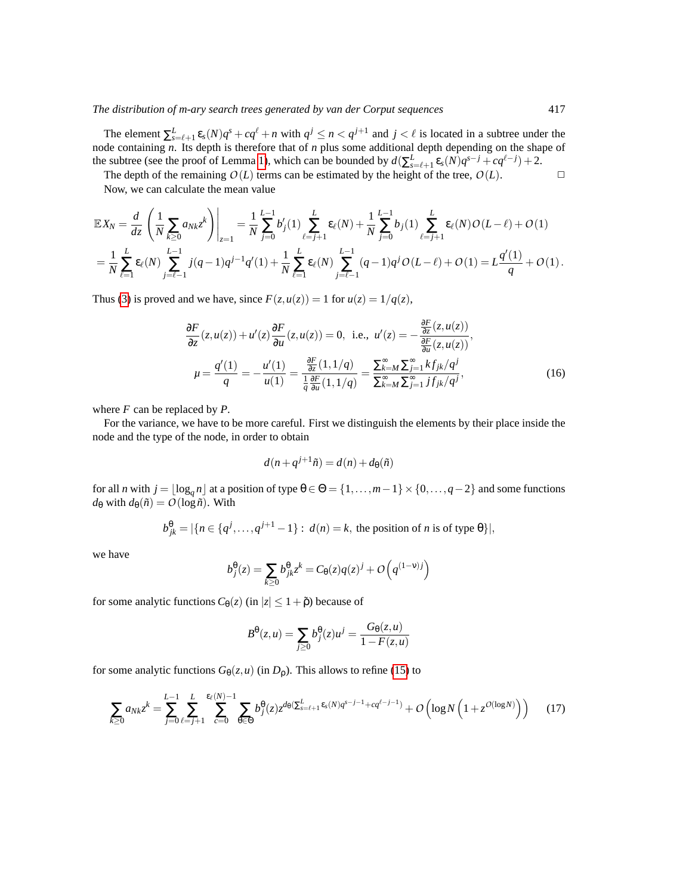The element  $\sum_{s=\ell+1}^{L} \varepsilon_s(N) q^s + cq^{\ell} + n$  with  $q^j \le n < q^{j+1}$  and  $j < \ell$  is located in a subtree under the node containing *n*. Its depth is therefore that of *n* plus some additional depth depending on the shape of the subtree (see the proof of Lemma [1\)](#page-3-2), which can be bounded by  $d(\sum_{s=\ell+1}^{L} \varepsilon_s(N)q^{s-j} + cq^{\ell-j}) + 2$ .

The depth of the remaining  $O(L)$  terms can be estimated by the height of the tree,  $O(L)$ .

Now, we can calculate the mean value

$$
\mathbb{E}X_N = \frac{d}{dz} \left( \frac{1}{N} \sum_{k\geq 0} a_{Nk} z^k \right) \Big|_{z=1} = \frac{1}{N} \sum_{j=0}^{L-1} b_j'(1) \sum_{\ell=j+1}^L \varepsilon_\ell(N) + \frac{1}{N} \sum_{j=0}^{L-1} b_j(1) \sum_{\ell=j+1}^L \varepsilon_\ell(N) O(L-\ell) + O(1)
$$
  
=  $\frac{1}{N} \sum_{\ell=1}^L \varepsilon_\ell(N) \sum_{j=\ell-1}^{L-1} j(q-1)q^{j-1}q'(1) + \frac{1}{N} \sum_{\ell=1}^L \varepsilon_\ell(N) \sum_{j=\ell-1}^{L-1} (q-1)q^j O(L-\ell) + O(1) = L \frac{q'(1)}{q} + O(1).$ 

Thus [\(3\)](#page-2-1) is proved and we have, since  $F(z, u(z)) = 1$  for  $u(z) = 1/q(z)$ ,

$$
\frac{\partial F}{\partial z}(z, u(z)) + u'(z) \frac{\partial F}{\partial u}(z, u(z)) = 0, \text{ i.e., } u'(z) = -\frac{\frac{\partial F}{\partial z}(z, u(z))}{\frac{\partial F}{\partial u}(z, u(z))},
$$
\n
$$
\mu = \frac{q'(1)}{q} = -\frac{u'(1)}{u(1)} = \frac{\frac{\partial F}{\partial z}(1, 1/q)}{\frac{1}{q}\frac{\partial F}{\partial u}(1, 1/q)} = \frac{\sum_{k=M}^{\infty} \sum_{j=1}^{\infty} kf_{jk}/q^j}{\sum_{k=M}^{\infty} \sum_{j=1}^{\infty} jf_{jk}/q^j},
$$
\n(16)

where *F* can be replaced by *P*.

For the variance, we have to be more careful. First we distinguish the elements by their place inside the node and the type of the node, in order to obtain

<span id="page-8-0"></span>
$$
d(n+q^{j+1}\tilde{n}) = d(n) + d_{\theta}(\tilde{n})
$$

for all *n* with  $j = \lfloor \log_q n \rfloor$  at a position of type  $\theta \in \Theta = \{1, \ldots, m-1\} \times \{0, \ldots, q-2\}$  and some functions  $d_{\theta}$  with  $d_{\theta}(\tilde{n}) = O(\log \tilde{n})$ . With

$$
b_{jk}^{\theta} = |\{n \in \{q^j, \ldots, q^{j+1} - 1\} : d(n) = k, \text{ the position of } n \text{ is of type } \theta\}|,
$$

we have

$$
b_j^{\theta}(z) = \sum_{k \ge 0} b_{jk}^{\theta} z^k = C_{\theta}(z)q(z)^j + O\left(q^{(1-v)j}\right)
$$

for some analytic functions  $C_{\theta}(z)$  (in  $|z| \leq 1 + \tilde{\rho}$ ) because of

<span id="page-8-1"></span>
$$
B^{\theta}(z,u) = \sum_{j\geq 0} b_j^{\theta}(z)u^j = \frac{G_{\theta}(z,u)}{1 - F(z,u)}
$$

for some analytic functions  $G_{\theta}(z, u)$  (in  $D_{\rho}$ ). This allows to refine [\(15\)](#page-7-0) to

$$
\sum_{k\geq 0} a_{Nk} z^k = \sum_{j=0}^{L-1} \sum_{\ell=j+1}^{L} \sum_{c=0}^{\epsilon_{\ell}(N)-1} \sum_{\theta \in \Theta} b_j^{\theta}(z) z^{d_{\theta}(\sum_{s=\ell+1}^{L} \epsilon_s(N)q^{s-j-1} + cq^{\ell-j-1})} + O\left(\log N \left(1 + z^{O(\log N)}\right)\right) \tag{17}
$$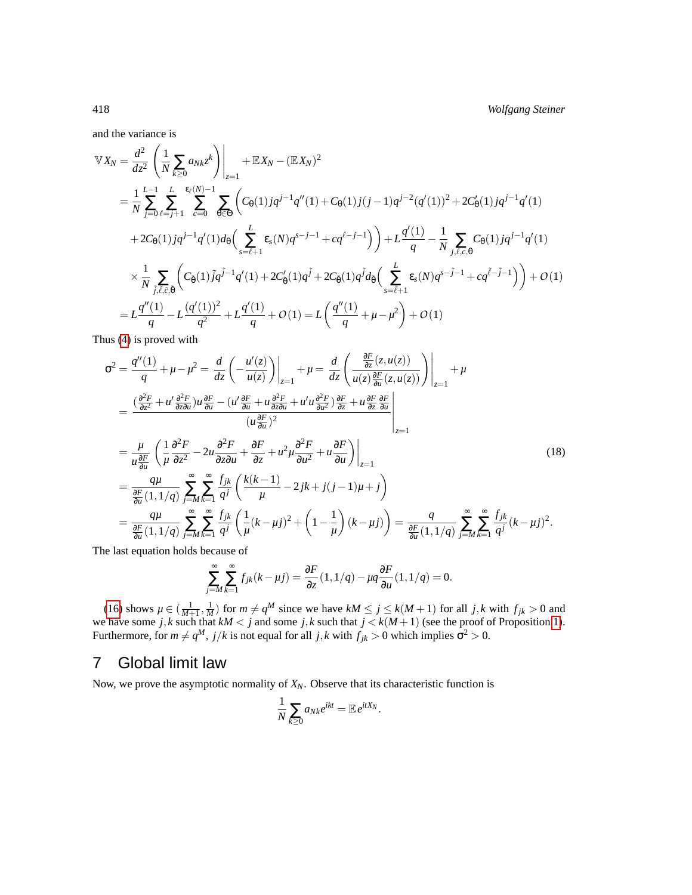and the variance is

$$
\mathbb{V}X_{N} = \frac{d^{2}}{dz^{2}} \left( \frac{1}{N} \sum_{k \geq 0} a_{Nk} z^{k} \right) \Big|_{z=1} + \mathbb{E}X_{N} - (\mathbb{E}X_{N})^{2}
$$
\n
$$
= \frac{1}{N} \sum_{j=0}^{L-1} \sum_{\ell=j+1}^{L} \sum_{c=0}^{\epsilon_{\ell}(N)-1} \sum_{\theta \in \Theta} \left( C_{\theta}(1)jq^{j-1}q'(1) + C_{\theta}(1)j(j-1)q^{j-2}(q'(1))^{2} + 2C_{\theta}'(1)jq^{j-1}q'(1) + 2C_{\theta}(1)jq^{j-1}q'(1) \right)
$$
\n
$$
+ 2C_{\theta}(1)jq^{j-1}q'(1)d_{\theta} \left( \sum_{s=\ell+1}^{L} \epsilon_{s}(N)q^{s-j-1} + cq^{\ell-j-1} \right) \Big) + L\frac{q'(1)}{q} - \frac{1}{N} \sum_{j,\ell,c,\Theta} C_{\theta}(1)jq^{j-1}q'(1)
$$
\n
$$
\times \frac{1}{N} \sum_{j,\ell,\zeta,\tilde{\Theta}} \left( C_{\tilde{\theta}}(1)\tilde{j}q^{j-1}q'(1) + 2C_{\theta}'(1)q^{j} + 2C_{\tilde{\theta}}(1)q^{j}d_{\tilde{\theta}} \left( \sum_{s=\tilde{\ell}+1}^{L} \epsilon_{s}(N)q^{s-j-1} + cq^{\tilde{\ell}-j-1} \right) \right) + O(1)
$$
\n
$$
= L\frac{q''(1)}{q} - L\frac{(q'(1))^{2}}{q^{2}} + L\frac{q'(1)}{q} + O(1) = L\left(\frac{q''(1)}{q} + \mu - \mu^{2}\right) + O(1)
$$

Thus [\(4\)](#page-2-2) is proved with

$$
\sigma^{2} = \frac{q''(1)}{q} + \mu - \mu^{2} = \frac{d}{dz} \left( -\frac{u'(z)}{u(z)} \right) \Big|_{z=1} + \mu = \frac{d}{dz} \left( \frac{\frac{\partial F}{\partial z}(z, u(z))}{u(z)\frac{\partial F}{\partial u}(z, u(z))} \right) \Big|_{z=1} + \mu
$$
\n
$$
= \frac{\left( \frac{\partial^{2} F}{\partial z^{2}} + u' \frac{\partial^{2} F}{\partial z \partial u} \right) u \frac{\partial F}{\partial u} - \left( u' \frac{\partial F}{\partial u} + u \frac{\partial^{2} F}{\partial z \partial u} + u' u \frac{\partial^{2} F}{\partial u^{2}} \right) \frac{\partial F}{\partial z} + u \frac{\partial F}{\partial z} \frac{\partial F}{\partial u} \Big|_{z=1}}{\left( u \frac{\partial F}{\partial u} \right)^{2}}
$$
\n
$$
= \frac{\mu}{u \frac{\partial F}{\partial u}} \left( \frac{1}{\mu} \frac{\partial^{2} F}{\partial z^{2}} - 2u \frac{\partial^{2} F}{\partial z \partial u} + \frac{\partial F}{\partial z} + u^{2} \mu \frac{\partial^{2} F}{\partial u^{2}} + u \frac{\partial F}{\partial u} \right) \Big|_{z=1}
$$
\n
$$
= \frac{q\mu}{\frac{\partial F}{\partial u}(1, 1/q)} \sum_{j=M}^{\infty} \sum_{k=1}^{\infty} \frac{f_{jk}}{q^{j}} \left( \frac{k(k-1)}{\mu} - 2jk + j(j-1)\mu + j \right)
$$
\n
$$
= \frac{q\mu}{\frac{\partial F}{\partial u}(1, 1/q)} \sum_{j=M}^{\infty} \sum_{k=1}^{\infty} \frac{f_{jk}}{q^{j}} \left( \frac{1}{\mu} (k - \mu j)^{2} + \left( 1 - \frac{1}{\mu} \right) (k - \mu j) \right) = \frac{q}{\frac{\partial F}{\partial u}(1, 1/q)} \sum_{j=M}^{\infty} \sum_{k=1}^{\infty} \frac{f_{jk}}{q^{j}} (k - \mu j)^{2}.
$$
\n(18)

The last equation holds because of

<span id="page-9-0"></span>
$$
\sum_{j=M}^{\infty} \sum_{k=1}^{\infty} f_{jk}(k-\mu j) = \frac{\partial F}{\partial z}(1,1/q) - \mu q \frac{\partial F}{\partial u}(1,1/q) = 0.
$$

[\(16\)](#page-8-0) shows  $\mu \in (\frac{1}{M+1}, \frac{1}{M})$  for  $m \neq q^M$  since we have  $kM \leq j \leq k(M+1)$  for all *j*,*k* with  $f_{jk} > 0$  and we have some  $j, k$  such that  $kM < j$  and some  $j, k$  such that  $j < k(M+1)$  (see the proof of Proposition [1\)](#page-6-2). Furthermore, for  $m \neq q^M$ ,  $j/k$  is not equal for all  $j,k$  with  $f_{jk} > 0$  which implies  $\sigma^2 > 0$ .

### <span id="page-9-1"></span>7 Global limit law

Now, we prove the asymptotic normality of  $X_N$ . Observe that its characteristic function is

$$
\frac{1}{N}\sum_{k\geq 0}a_{Nk}e^{ikt}=\mathbb{E}e^{itX_N}.
$$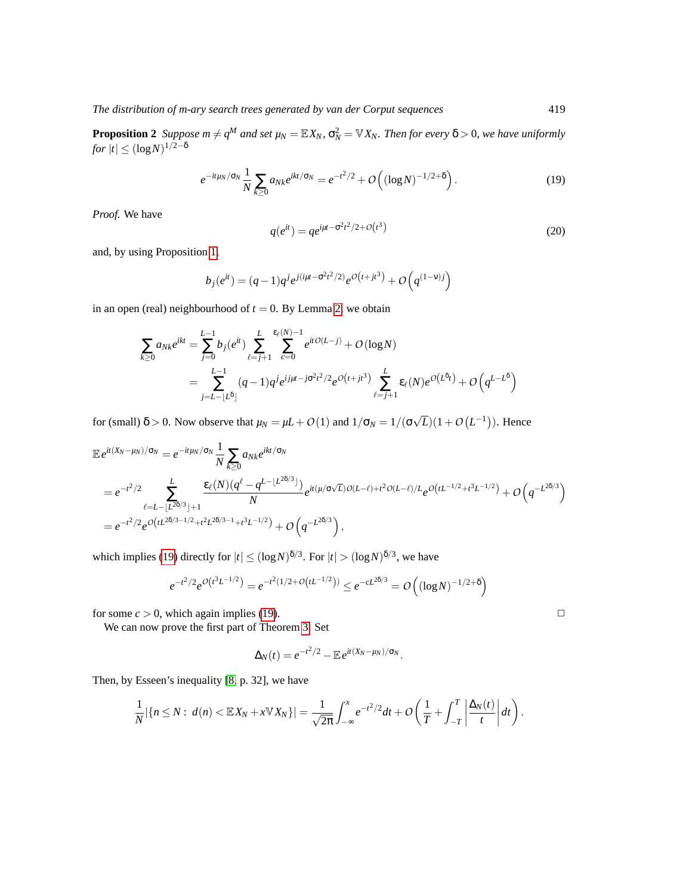<span id="page-10-1"></span>**Proposition 2** Suppose  $m \neq q^M$  and set  $\mu_N = \mathbb{E} X_N$ ,  $\sigma_N^2 = \mathbb{V} X_N$ . Then for every  $\delta > 0$ , we have uniformly  $f$ or  $|t| \leq (\log N)^{1/2-\delta}$ 

<span id="page-10-2"></span><span id="page-10-0"></span>
$$
e^{-it\mu_N/\sigma_N} \frac{1}{N} \sum_{k \ge 0} a_{Nk} e^{ikt/\sigma_N} = e^{-t^2/2} + O\left( (\log N)^{-1/2 + \delta} \right). \tag{19}
$$

*Proof.* We have

$$
q(e^{it}) = q e^{i\mu t - \sigma^2 t^2 / 2 + O(t^3)}
$$
\n(20)

and, by using Proposition [1,](#page-6-2)

$$
b_j(e^{it}) = (q-1)q^{j}e^{j(i\mu t - \sigma^2 t^2/2)}e^{O(t + jt^3)} + O(q^{(1-v)j})
$$

in an open (real) neighbourhood of  $t = 0$ . By Lemma [2,](#page-7-1) we obtain

$$
\sum_{k\geq 0} a_{Nk} e^{ikt} = \sum_{j=0}^{L-1} b_j (e^{it}) \sum_{\ell=j+1}^{L} \sum_{c=0}^{\varepsilon_{\ell}(N)-1} e^{itO(L-j)} + O(\log N)
$$
  
= 
$$
\sum_{j=L-\lfloor L^{\delta} \rfloor}^{L-1} (q-1) q^j e^{ij\mu - j\sigma^2 t^2/2} e^{O(t+jt^3)} \sum_{\ell=j+1}^{L} \varepsilon_{\ell}(N) e^{O(L^{\delta}t)} + O(q^{L-L^{\delta}})
$$

for (small)  $\delta > 0$ . Now observe that  $\mu_N = \mu L + O(1)$  and  $1/\sigma_N = 1/(\sigma)$ √  $\overline{L}$ )(1+ $O(L^{-1})$ ). Hence

$$
\mathbb{E} e^{it(X_N - \mu_N)/\sigma_N} = e^{-it\mu_N/\sigma_N} \frac{1}{N} \sum_{k \ge 0} a_{Nk} e^{ikt/\sigma_N}
$$
\n
$$
= e^{-t^2/2} \sum_{\ell=L-\lfloor L^{2\delta/3} \rfloor+1}^{L} \frac{\mathcal{E}_{\ell}(N)(q^{\ell} - q^{L-\lfloor L^{2\delta/3} \rfloor})}{N} e^{it(\mu/\sigma\sqrt{L})O(L-\ell)+t^2O(L-\ell)/L} e^{O(tL^{-1/2}+t^3L^{-1/2})} + O\left(q^{-L^{2\delta/3}}\right)
$$
\n
$$
= e^{-t^2/2} e^{O\left(tL^{2\delta/3-1/2}+t^2L^{2\delta/3-1}+t^3L^{-1/2}\right)} + O\left(q^{-L^{2\delta/3}}\right),
$$

which implies [\(19\)](#page-10-0) directly for  $|t| \leq (\log N)^{\delta/3}$ . For  $|t| > (\log N)^{\delta/3}$ , we have

$$
e^{-t^2/2}e^{O(t^3L^{-1/2})} = e^{-t^2(1/2+O(tL^{-1/2}))} \le e^{-cL^{2\delta/3}} = O\left((\log N)^{-1/2+\delta}\right)
$$

for some  $c > 0$ , which again implies [\(19\)](#page-10-0).

We can now prove the first part of Theorem [3.](#page-2-0) Set

$$
\Delta_N(t) = e^{-t^2/2} - \mathbb{E} e^{it(X_N - \mu_N)/\sigma_N}.
$$

Then, by Esseen's inequality [\[8,](#page-14-9) p. 32], we have

$$
\frac{1}{N}|\{n\leq N:\ d(n)<\mathbb{E}X_N+x\mathbb{V}X_N\}|=\frac{1}{\sqrt{2\pi}}\int_{-\infty}^x e^{-t^2/2}dt+O\left(\frac{1}{T}+\int_{-T}^T\left|\frac{\Delta_N(t)}{t}\right|dt\right).
$$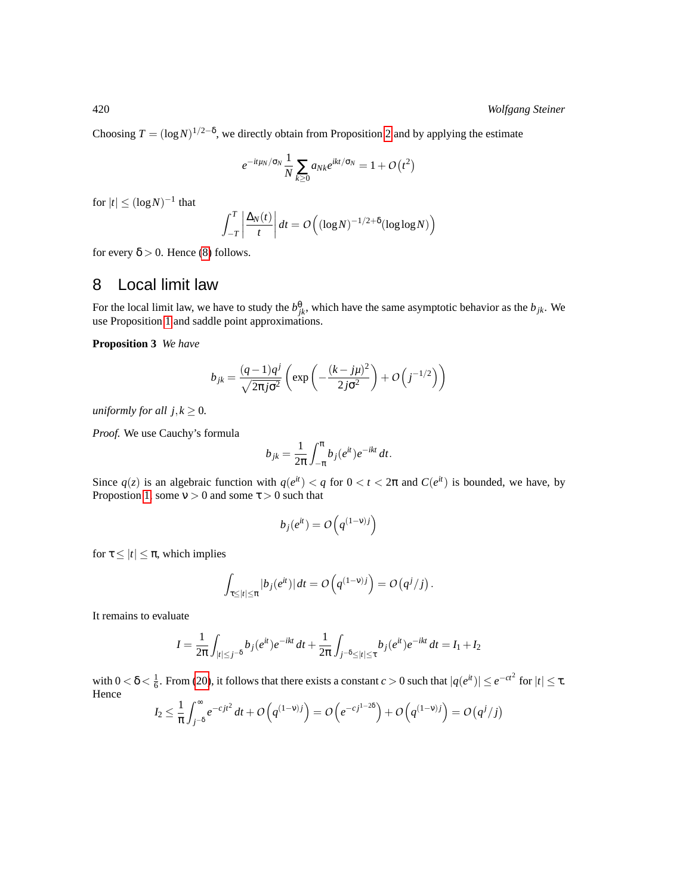Choosing  $T = (\log N)^{1/2-\delta}$ , we directly obtain from Proposition [2](#page-10-1) and by applying the estimate

$$
e^{-it\mu_N/\sigma_N}\frac{1}{N}\sum_{k\geq 0}a_{Nk}e^{ikt/\sigma_N}=1+O\left(t^2\right)
$$

for  $|t| \leq (\log N)^{-1}$  that

$$
\int_{-T}^{T} \left| \frac{\Delta_N(t)}{t} \right| dt = O\left( (\log N)^{-1/2 + \delta} (\log \log N) \right)
$$

for every  $\delta > 0$ . Hence [\(8\)](#page-2-3) follows.

#### <span id="page-11-0"></span>8 Local limit law

For the local limit law, we have to study the  $b_{jk}^{\theta}$ , which have the same asymptotic behavior as the  $b_{jk}$ . We use Proposition [1](#page-6-2) and saddle point approximations.

<span id="page-11-1"></span>**Proposition 3** *We have*

$$
b_{jk} = \frac{(q-1)q^j}{\sqrt{2\pi j\sigma^2}} \left( \exp\left(-\frac{(k-j\mu)^2}{2j\sigma^2}\right) + O\left(j^{-1/2}\right) \right)
$$

*uniformly for all*  $j, k \geq 0$ *.* 

*Proof.* We use Cauchy's formula

$$
b_{jk} = \frac{1}{2\pi} \int_{-\pi}^{\pi} b_j(e^{it}) e^{-ikt} dt.
$$

Since  $q(z)$  is an algebraic function with  $q(e^{it}) < q$  for  $0 < t < 2\pi$  and  $C(e^{it})$  is bounded, we have, by Propostion [1,](#page-6-2) some  $v > 0$  and some  $\tau > 0$  such that

$$
b_j(e^{it}) = O\left(q^{(1-v)j}\right)
$$

for  $\tau \leq |t| \leq \pi$ , which implies

$$
\int_{\tau \leq |t| \leq \pi} |b_j(e^{it})| dt = O\left(q^{(1-\nu)j}\right) = O\left(q^j/j\right).
$$

It remains to evaluate

$$
I = \frac{1}{2\pi} \int_{|t| \le j^{-\delta}} b_j(e^{it}) e^{-ikt} dt + \frac{1}{2\pi} \int_{j^{-\delta} \le |t| \le \tau} b_j(e^{it}) e^{-ikt} dt = I_1 + I_2
$$

with  $0 < \delta < \frac{1}{6}$ . From [\(20\)](#page-10-2), it follows that there exists a constant  $c > 0$  such that  $|q(e^{it})| \leq e^{-ct^2}$  for  $|t| \leq \tau$ . Hence

$$
I_2 \leq \frac{1}{\pi} \int_{j^{-\delta}}^{\infty} e^{-cjt^2} dt + O(q^{(1-\nu)j}) = O\left(e^{-cj^{1-2\delta}}\right) + O\left(q^{(1-\nu)j}\right) = O(q^j/j)
$$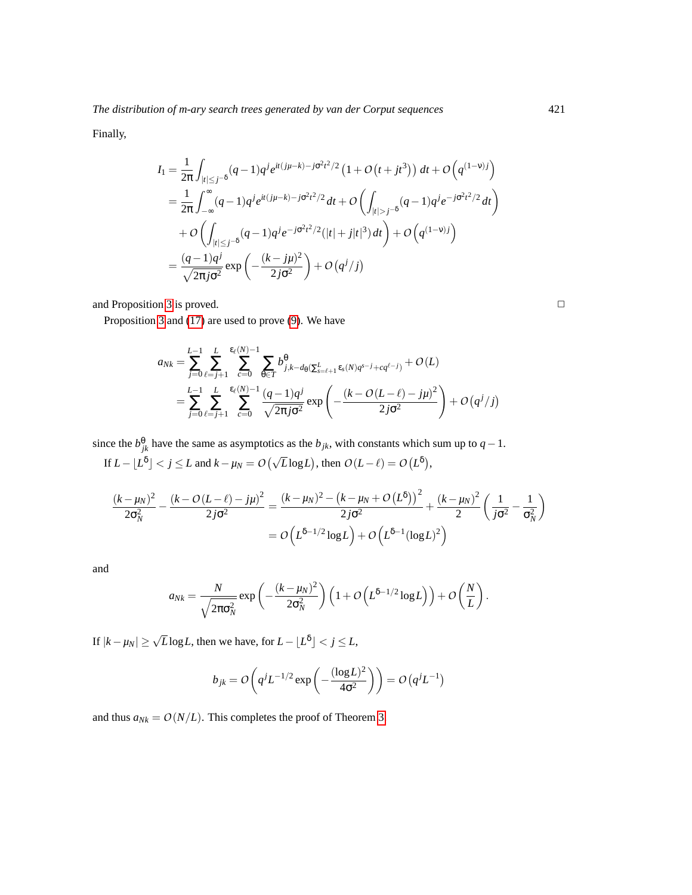Finally,

$$
I_{1} = \frac{1}{2\pi} \int_{|t| \leq j^{-\delta}} (q-1)q^{j} e^{it(j\mu-k) - j\sigma^{2}t^{2}/2} \left(1 + O(t + jt^{3})\right) dt + O\left(q^{(1-\nu)j}\right)
$$
  
\n
$$
= \frac{1}{2\pi} \int_{-\infty}^{\infty} (q-1)q^{j} e^{it(j\mu-k) - j\sigma^{2}t^{2}/2} dt + O\left(\int_{|t| > j^{-\delta}} (q-1)q^{j} e^{-j\sigma^{2}t^{2}/2} dt\right)
$$
  
\n
$$
+ O\left(\int_{|t| \leq j^{-\delta}} (q-1)q^{j} e^{-j\sigma^{2}t^{2}/2} (|t| + j|t|^{3}) dt\right) + O\left(q^{(1-\nu)j}\right)
$$
  
\n
$$
= \frac{(q-1)q^{j}}{\sqrt{2\pi j\sigma^{2}}} \exp\left(-\frac{(k - j\mu)^{2}}{2j\sigma^{2}}\right) + O\left(q^{j}/j\right)
$$

and Proposition [3](#page-11-1) is proved.  $\Box$ 

Proposition [3](#page-11-1) and [\(17\)](#page-8-1) are used to prove [\(9\)](#page-2-4). We have

$$
a_{Nk} = \sum_{j=0}^{L-1} \sum_{\ell=j+1}^{L} \sum_{c=0}^{\epsilon_{\ell}(N)-1} \sum_{\theta \in T} b_{j,k-d_{\theta}(\sum_{s=\ell+1}^{L} \epsilon_{s}(N)q^{s-j} + cq^{\ell-j})}^{\theta} + O(L)
$$
  
= 
$$
\sum_{j=0}^{L-1} \sum_{\ell=j+1}^{L} \sum_{c=0}^{\epsilon_{\ell}(N)-1} \frac{(q-1)q^{j}}{\sqrt{2\pi j \sigma^{2}}} \exp\left(-\frac{(k-O(L-\ell)-j\mu)^{2}}{2j\sigma^{2}}\right) + O(q^{j}/j)
$$

since the  $b_{jk}^{\theta}$  have the same as asymptotics as the  $b_{jk}$ , with constants which sum up to *q* − 1. If  $L - \lfloor L^{\delta} \rfloor < j \le L$  and  $k - \mu_N = O(\sqrt{L} \log L)$ , then  $O(L - \ell) = O(L^{\delta})$ ,

$$
\frac{(k-\mu_N)^2}{2\sigma_N^2} - \frac{(k-O(L-\ell)-j\mu)^2}{2j\sigma^2} = \frac{(k-\mu_N)^2 - (k-\mu_N+O(L^{\delta}))^2}{2j\sigma^2} + \frac{(k-\mu_N)^2}{2}\left(\frac{1}{j\sigma^2} - \frac{1}{\sigma_N^2}\right)
$$

$$
= O\left(L^{\delta-1/2}\log L\right) + O\left(L^{\delta-1}(\log L)^2\right)
$$

and

$$
a_{Nk} = \frac{N}{\sqrt{2\pi\sigma_N^2}} \exp\left(-\frac{(k-\mu_N)^2}{2\sigma_N^2}\right) \left(1 + O\left(L^{\delta-1/2} \log L\right)\right) + O\left(\frac{N}{L}\right).
$$

If  $|k - \mu_N| \ge \sqrt{L} \log L$ , then we have, for  $L - \lfloor L^{\delta} \rfloor < j \le L$ ,

$$
b_{jk} = O\left(q^{j}L^{-1/2}\exp\left(-\frac{(\log L)^{2}}{4\sigma^{2}}\right)\right) = O\left(q^{j}L^{-1}\right)
$$

and thus  $a_{Nk} = O(N/L)$ . This completes the proof of Theorem [3.](#page-2-0)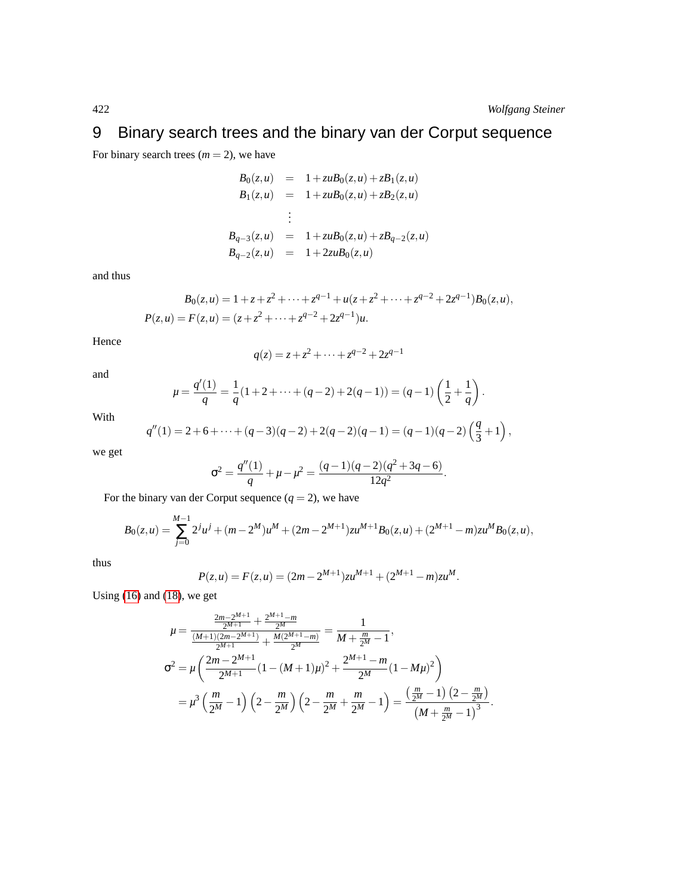# <span id="page-13-0"></span>9 Binary search trees and the binary van der Corput sequence

For binary search trees  $(m = 2)$ , we have

$$
B_0(z, u) = 1 + zuB_0(z, u) + zB_1(z, u)
$$
  
\n
$$
B_1(z, u) = 1 + zuB_0(z, u) + zB_2(z, u)
$$
  
\n:  
\n:  
\n:  
\n
$$
B_{q-3}(z, u) = 1 + zuB_0(z, u) + zB_{q-2}(z, u)
$$
  
\n
$$
B_{q-2}(z, u) = 1 + 2zuB_0(z, u)
$$

and thus

$$
B_0(z, u) = 1 + z + z^2 + \dots + z^{q-1} + u(z + z^2 + \dots + z^{q-2} + 2z^{q-1})B_0(z, u),
$$
  
\n
$$
P(z, u) = F(z, u) = (z + z^2 + \dots + z^{q-2} + 2z^{q-1})u.
$$

Hence

$$
q(z) = z + z^2 + \dots + z^{q-2} + 2z^{q-1}
$$

and

$$
\mu = \frac{q'(1)}{q} = \frac{1}{q}(1+2+\cdots+(q-2)+2(q-1)) = (q-1)\left(\frac{1}{2}+\frac{1}{q}\right).
$$

With

$$
q''(1) = 2 + 6 + \dots + (q-3)(q-2) + 2(q-2)(q-1) = (q-1)(q-2)\left(\frac{q}{3} + 1\right),
$$

we get

$$
\sigma^{2} = \frac{q''(1)}{q} + \mu - \mu^{2} = \frac{(q-1)(q-2)(q^{2}+3q-6)}{12q^{2}}.
$$

For the binary van der Corput sequence  $(q = 2)$ , we have

$$
B_0(z,u) = \sum_{j=0}^{M-1} 2^j u^j + (m-2^M)u^M + (2m-2^{M+1})zu^{M+1}B_0(z,u) + (2^{M+1}-m)zu^M B_0(z,u),
$$

thus

$$
P(z, u) = F(z, u) = (2m - 2^{M+1})zu^{M+1} + (2^{M+1} - m)zu^M.
$$

Using [\(16\)](#page-8-0) and [\(18\)](#page-9-0), we get

$$
\mu = \frac{\frac{2m-2^{M+1}}{2^{M+1}} + \frac{2^{M+1}-m}{2^M}}{\frac{(M+1)(2m-2^{M+1})}{2^{M+1}} + \frac{M(2^{M+1}-m)}{2^M}} = \frac{1}{M + \frac{m}{2^M} - 1},
$$
  
\n
$$
\sigma^2 = \mu \left( \frac{2m-2^{M+1}}{2^{M+1}} (1 - (M+1)\mu)^2 + \frac{2^{M+1}-m}{2^M} (1 - M\mu)^2 \right)
$$
  
\n
$$
= \mu^3 \left( \frac{m}{2^M} - 1 \right) \left( 2 - \frac{m}{2^M} \right) \left( 2 - \frac{m}{2^M} + \frac{m}{2^M} - 1 \right) = \frac{\left( \frac{m}{2^M} - 1 \right) \left( 2 - \frac{m}{2^M} \right)}{\left( M + \frac{m}{2^M} - 1 \right)^3}.
$$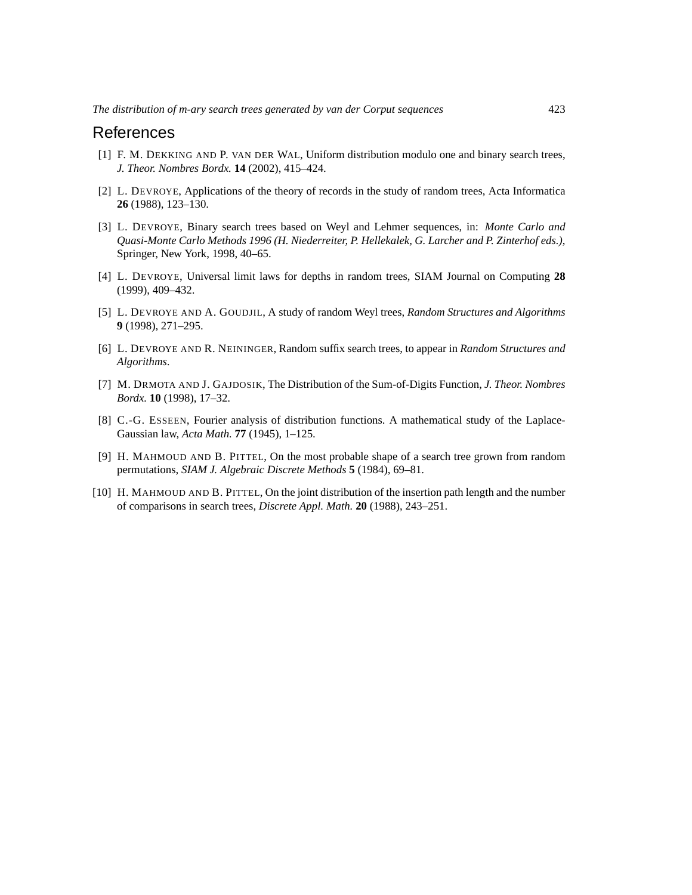#### References

- <span id="page-14-2"></span>[1] F. M. DEKKING AND P. VAN DER WAL, Uniform distribution modulo one and binary search trees, *J. Theor. Nombres Bordx.* **14** (2002), 415–424.
- <span id="page-14-5"></span>[2] L. DEVROYE, Applications of the theory of records in the study of random trees, Acta Informatica **26** (1988), 123–130.
- <span id="page-14-0"></span>[3] L. DEVROYE, Binary search trees based on Weyl and Lehmer sequences, in: *Monte Carlo and Quasi-Monte Carlo Methods 1996 (H. Niederreiter, P. Hellekalek, G. Larcher and P. Zinterhof eds.)*, Springer, New York, 1998, 40–65.
- <span id="page-14-7"></span>[4] L. DEVROYE, Universal limit laws for depths in random trees, SIAM Journal on Computing **28** (1999), 409–432.
- <span id="page-14-1"></span>[5] L. DEVROYE AND A. GOUDJIL, A study of random Weyl trees, *Random Structures and Algorithms* **9** (1998), 271–295.
- <span id="page-14-3"></span>[6] L. DEVROYE AND R. NEININGER, Random suffix search trees, to appear in *Random Structures and Algorithms*.
- <span id="page-14-8"></span>[7] M. DRMOTA AND J. GAJDOSIK, The Distribution of the Sum-of-Digits Function, *J. Theor. Nombres Bordx.* **10** (1998), 17–32.
- <span id="page-14-9"></span>[8] C.-G. ESSEEN, Fourier analysis of distribution functions. A mathematical study of the Laplace-Gaussian law, *Acta Math.* **77** (1945), 1–125.
- <span id="page-14-4"></span>[9] H. MAHMOUD AND B. PITTEL, On the most probable shape of a search tree grown from random permutations, *SIAM J. Algebraic Discrete Methods* **5** (1984), 69–81.
- <span id="page-14-6"></span>[10] H. MAHMOUD AND B. PITTEL, On the joint distribution of the insertion path length and the number of comparisons in search trees, *Discrete Appl. Math.* **20** (1988), 243–251.